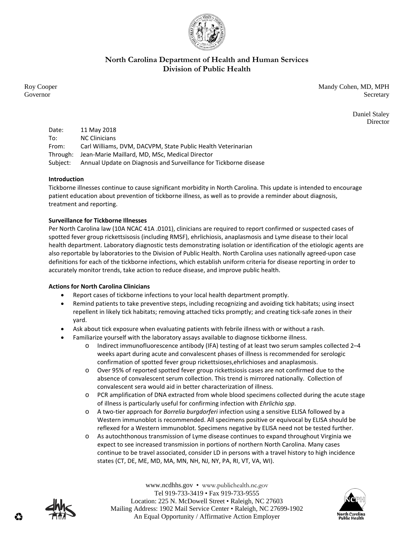

# **North Carolina Department of Health and Human Services Division of Public Health**

Roy Cooper Mandy Cohen, MD, MPH Governor Secretary Secretary Secretary Secretary Secretary Secretary Secretary Secretary Secretary Secretary Secretary Secretary Secretary Secretary Secretary Secretary Secretary Secretary Secretary Secretary Secretary Sec

> Daniel Staley Director

Date: 11 May 2018 To: NC Clinicians From: Carl Williams, DVM, DACVPM, State Public Health Veterinarian Through: Jean‐Marie Maillard, MD, MSc, Medical Director Subject: Annual Update on Diagnosis and Surveillance for Tickborne disease

## **Introduction**

Tickborne illnesses continue to cause significant morbidity in North Carolina. This update is intended to encourage patient education about prevention of tickborne illness, as well as to provide a reminder about diagnosis, treatment and reporting.

## **Surveillance for Tickborne Illnesses**

Per North Carolina law (10A NCAC 41A .0101), clinicians are required to report confirmed or suspected cases of spotted fever group rickettsisosis (including RMSF), ehrlichiosis, anaplasmosis and Lyme disease to their local health department. Laboratory diagnostic tests demonstrating isolation or identification of the etiologic agents are also reportable by laboratories to the Division of Public Health. North Carolina uses nationally agreed‐upon case definitions for each of the tickborne infections, which establish uniform criteria for disease reporting in order to accurately monitor trends, take action to reduce disease, and improve public health.

## **Actions for North Carolina Clinicians**

- Report cases of tickborne infections to your local health department promptly.
- Remind patients to take preventive steps, including recognizing and avoiding tick habitats; using insect repellent in likely tick habitats; removing attached ticks promptly; and creating tick‐safe zones in their yard.
- Ask about tick exposure when evaluating patients with febrile illness with or without a rash.
- Familiarize yourself with the laboratory assays available to diagnose tickborne illness.
	- o Indirect immunofluorescence antibody (IFA) testing of at least two serum samples collected 2–4 weeks apart during acute and convalescent phases of illness is recommended for serologic confirmation of spotted fever group rickettsioses,ehrlichioses and anaplasmosis.
	- o Over 95% of reported spotted fever group rickettsiosis cases are not confirmed due to the absence of convalescent serum collection. This trend is mirrored nationally. Collection of convalescent sera would aid in better characterization of illness.
	- o PCR amplification of DNA extracted from whole blood specimens collected during the acute stage of illness is particularly useful for confirming infection with *Ehrlichia spp*.
	- o A two‐tier approach for *Borrelia burgdorferi* infection using a sensitive ELISA followed by a Western immunoblot is recommended. All specimens positive or equivocal by ELISA should be reflexed for a Western immunoblot. Specimens negative by ELISA need not be tested further.
	- o As autochthonous transmission of Lyme disease continues to expand throughout Virginia we expect to see increased transmission in portions of northern North Carolina. Many cases continue to be travel associated, consider LD in persons with a travel history to high incidence states (CT, DE, ME, MD, MA, MN, NH, NJ, NY, PA, RI, VT, VA, WI).